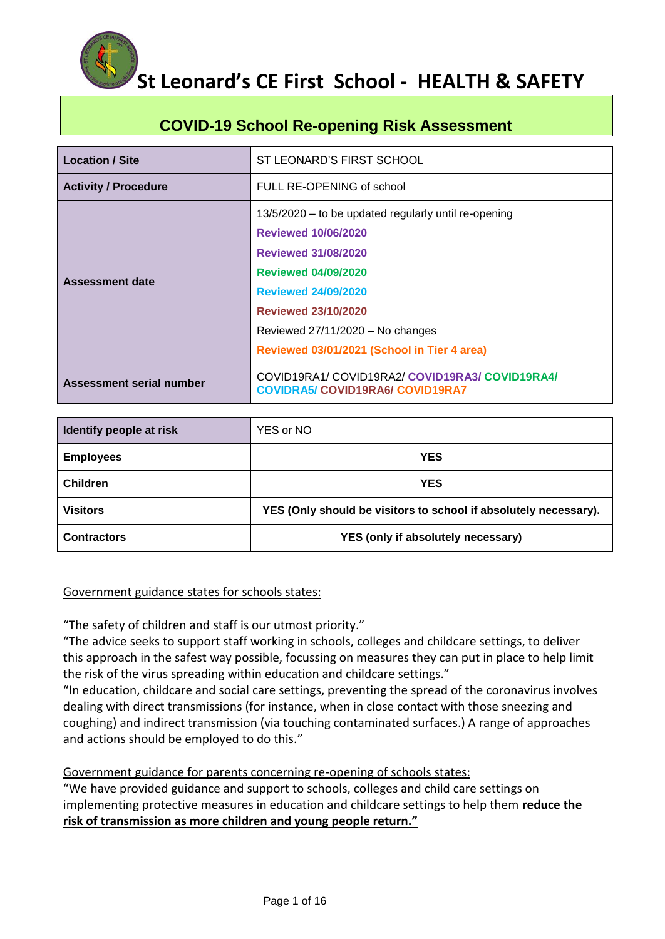## **COVID-19 School Re-opening Risk Assessment**

| <b>Location / Site</b>      | ST LEONARD'S FIRST SCHOOL                                                                                                                                                                                                                                                                     |  |  |
|-----------------------------|-----------------------------------------------------------------------------------------------------------------------------------------------------------------------------------------------------------------------------------------------------------------------------------------------|--|--|
| <b>Activity / Procedure</b> | FULL RE-OPENING of school                                                                                                                                                                                                                                                                     |  |  |
| Assessment date             | 13/5/2020 – to be updated regularly until re-opening<br><b>Reviewed 10/06/2020</b><br><b>Reviewed 31/08/2020</b><br><b>Reviewed 04/09/2020</b><br><b>Reviewed 24/09/2020</b><br><b>Reviewed 23/10/2020</b><br>Reviewed 27/11/2020 - No changes<br>Reviewed 03/01/2021 (School in Tier 4 area) |  |  |
| Assessment serial number    | COVID19RA1/COVID19RA2/COVID19RA3/COVID19RA4/<br><b>COVIDRA5/ COVID19RA6/ COVID19RA7</b>                                                                                                                                                                                                       |  |  |

| Identify people at risk | YES or NO                                                        |
|-------------------------|------------------------------------------------------------------|
| <b>Employees</b>        | <b>YES</b>                                                       |
| <b>Children</b>         | <b>YES</b>                                                       |
| <b>Visitors</b>         | YES (Only should be visitors to school if absolutely necessary). |
| <b>Contractors</b>      | YES (only if absolutely necessary)                               |

#### Government guidance states for schools states:

"The safety of children and staff is our utmost priority."

"The advice seeks to support staff working in schools, colleges and childcare settings, to deliver this approach in the safest way possible, focussing on measures they can put in place to help limit the risk of the virus spreading within education and childcare settings."

"In education, childcare and social care settings, preventing the spread of the coronavirus involves dealing with direct transmissions (for instance, when in close contact with those sneezing and coughing) and indirect transmission (via touching contaminated surfaces.) A range of approaches and actions should be employed to do this."

### Government guidance for parents concerning re-opening of schools states:

"We have provided guidance and support to schools, colleges and child care settings on implementing protective measures in education and childcare settings to help them **reduce the risk of transmission as more children and young people return."**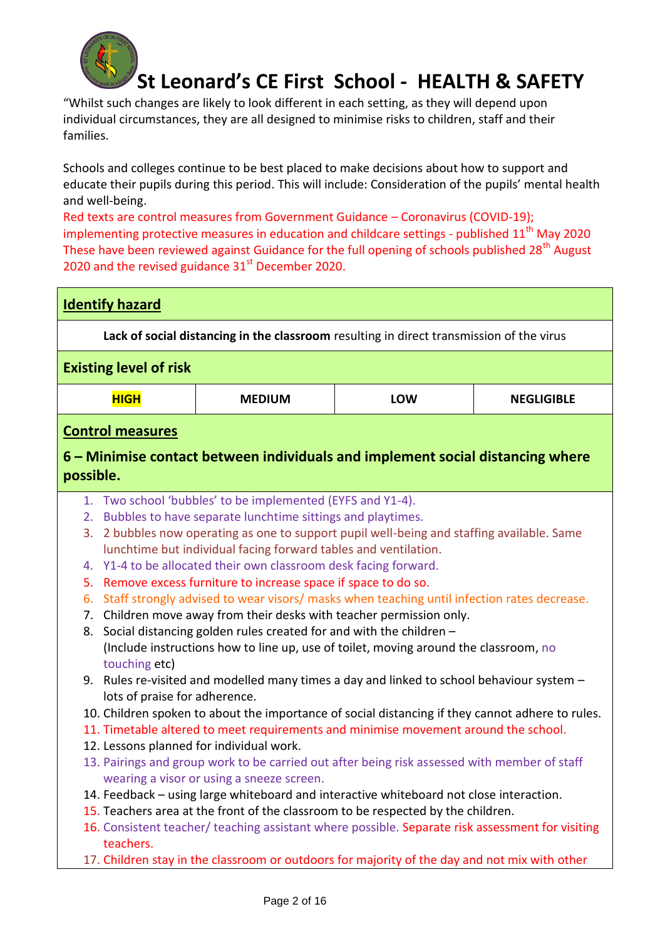

"Whilst such changes are likely to look different in each setting, as they will depend upon individual circumstances, they are all designed to minimise risks to children, staff and their families.

Schools and colleges continue to be best placed to make decisions about how to support and educate their pupils during this period. This will include: Consideration of the pupils' mental health and well-being.

Red texts are control measures from Government Guidance – Coronavirus (COVID-19); implementing protective measures in education and childcare settings - published  $11<sup>th</sup>$  May 2020 These have been reviewed against Guidance for the full opening of schools published 28<sup>th</sup> August 2020 and the revised guidance  $31<sup>st</sup>$  December 2020.

| <b>Identify hazard</b>                                                                                                                                                                                                                                                                                                                                                           |                                                                                                                                                                                                                                                                                                                                                                                                                                                                                                                                                                                                     |  |            |                                                                                                                                                                                                                                                                                    |  |
|----------------------------------------------------------------------------------------------------------------------------------------------------------------------------------------------------------------------------------------------------------------------------------------------------------------------------------------------------------------------------------|-----------------------------------------------------------------------------------------------------------------------------------------------------------------------------------------------------------------------------------------------------------------------------------------------------------------------------------------------------------------------------------------------------------------------------------------------------------------------------------------------------------------------------------------------------------------------------------------------------|--|------------|------------------------------------------------------------------------------------------------------------------------------------------------------------------------------------------------------------------------------------------------------------------------------------|--|
|                                                                                                                                                                                                                                                                                                                                                                                  | Lack of social distancing in the classroom resulting in direct transmission of the virus                                                                                                                                                                                                                                                                                                                                                                                                                                                                                                            |  |            |                                                                                                                                                                                                                                                                                    |  |
| <b>Existing level of risk</b>                                                                                                                                                                                                                                                                                                                                                    |                                                                                                                                                                                                                                                                                                                                                                                                                                                                                                                                                                                                     |  |            |                                                                                                                                                                                                                                                                                    |  |
| <b>HIGH</b>                                                                                                                                                                                                                                                                                                                                                                      | <b>MEDIUM</b>                                                                                                                                                                                                                                                                                                                                                                                                                                                                                                                                                                                       |  | <b>LOW</b> | <b>NEGLIGIBLE</b>                                                                                                                                                                                                                                                                  |  |
| <b>Control measures</b>                                                                                                                                                                                                                                                                                                                                                          |                                                                                                                                                                                                                                                                                                                                                                                                                                                                                                                                                                                                     |  |            |                                                                                                                                                                                                                                                                                    |  |
| possible.                                                                                                                                                                                                                                                                                                                                                                        |                                                                                                                                                                                                                                                                                                                                                                                                                                                                                                                                                                                                     |  |            | 6 – Minimise contact between individuals and implement social distancing where                                                                                                                                                                                                     |  |
| 2.<br>3.<br>4.<br>5.<br>6.<br>8.<br>touching etc)                                                                                                                                                                                                                                                                                                                                | 1. Two school 'bubbles' to be implemented (EYFS and Y1-4).<br>Bubbles to have separate lunchtime sittings and playtimes.<br>lunchtime but individual facing forward tables and ventilation.<br>Y1-4 to be allocated their own classroom desk facing forward.<br>Remove excess furniture to increase space if space to do so.<br>7. Children move away from their desks with teacher permission only.<br>Social distancing golden rules created for and with the children -<br>(Include instructions how to line up, use of toilet, moving around the classroom, no<br>lots of praise for adherence. |  |            | 2 bubbles now operating as one to support pupil well-being and staffing available. Same<br>Staff strongly advised to wear visors/ masks when teaching until infection rates decrease.<br>9. Rules re-visited and modelled many times a day and linked to school behaviour system - |  |
| 10. Children spoken to about the importance of social distancing if they cannot adhere to rules.<br>11. Timetable altered to meet requirements and minimise movement around the school.<br>12. Lessons planned for individual work.<br>13. Pairings and group work to be carried out after being risk assessed with member of staff<br>wearing a visor or using a sneeze screen. |                                                                                                                                                                                                                                                                                                                                                                                                                                                                                                                                                                                                     |  |            |                                                                                                                                                                                                                                                                                    |  |
| teachers.                                                                                                                                                                                                                                                                                                                                                                        | 14. Feedback - using large whiteboard and interactive whiteboard not close interaction.<br>15. Teachers area at the front of the classroom to be respected by the children.                                                                                                                                                                                                                                                                                                                                                                                                                         |  |            | 16. Consistent teacher/ teaching assistant where possible. Separate risk assessment for visiting<br>17. Children stay in the classroom or outdoors for majority of the day and not mix with other                                                                                  |  |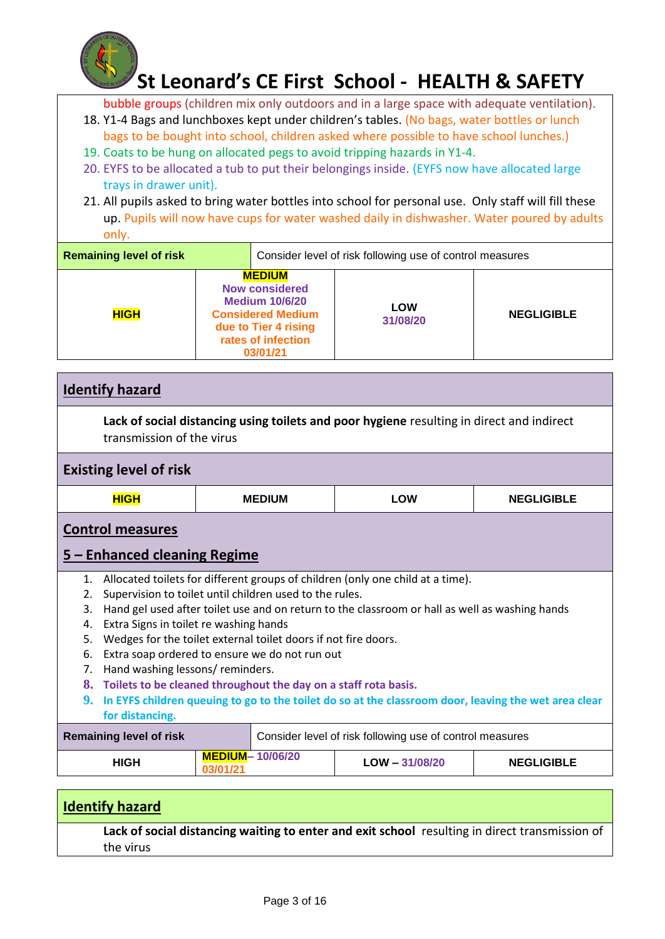

bubble groups (children mix only outdoors and in a large space with adequate ventilation).

- 18. Y1-4 Bags and lunchboxes kept under children's tables. (No bags, water bottles or lunch bags to be bought into school, children asked where possible to have school lunches.)
- 19. Coats to be hung on allocated pegs to avoid tripping hazards in Y1-4.
- 20. EYFS to be allocated a tub to put their belongings inside. (EYFS now have allocated large trays in drawer unit).
- 21. All pupils asked to bring water bottles into school for personal use. Only staff will fill these up. Pupils will now have cups for water washed daily in dishwasher. Water poured by adults only.

| <b>Remaining level of risk</b> | Consider level of risk following use of control measures                                                                                              |  |                        |                   |
|--------------------------------|-------------------------------------------------------------------------------------------------------------------------------------------------------|--|------------------------|-------------------|
| <b>HIGH</b>                    | <b>MEDIUM</b><br><b>Now considered</b><br><b>Medium 10/6/20</b><br><b>Considered Medium</b><br>due to Tier 4 rising<br>rates of infection<br>03/01/21 |  | <b>LOW</b><br>31/08/20 | <b>NEGLIGIBLE</b> |

| <b>Identify hazard</b>                                                                                                                                                                                                                                                                                                                                                                                                                                                                                                                                                                                                                                                                                                |                                    |                  |                   |  |  |
|-----------------------------------------------------------------------------------------------------------------------------------------------------------------------------------------------------------------------------------------------------------------------------------------------------------------------------------------------------------------------------------------------------------------------------------------------------------------------------------------------------------------------------------------------------------------------------------------------------------------------------------------------------------------------------------------------------------------------|------------------------------------|------------------|-------------------|--|--|
| Lack of social distancing using toilets and poor hygiene resulting in direct and indirect<br>transmission of the virus                                                                                                                                                                                                                                                                                                                                                                                                                                                                                                                                                                                                |                                    |                  |                   |  |  |
| <b>Existing level of risk</b>                                                                                                                                                                                                                                                                                                                                                                                                                                                                                                                                                                                                                                                                                         |                                    |                  |                   |  |  |
| <b>HIGH</b>                                                                                                                                                                                                                                                                                                                                                                                                                                                                                                                                                                                                                                                                                                           | <b>MEDIUM</b>                      | <b>LOW</b>       | <b>NEGLIGIBLE</b> |  |  |
| <b>Control measures</b>                                                                                                                                                                                                                                                                                                                                                                                                                                                                                                                                                                                                                                                                                               |                                    |                  |                   |  |  |
| 5 – Enhanced cleaning Regime                                                                                                                                                                                                                                                                                                                                                                                                                                                                                                                                                                                                                                                                                          |                                    |                  |                   |  |  |
| Allocated toilets for different groups of children (only one child at a time).<br>$\mathbf{1}$ .<br>Supervision to toilet until children used to the rules.<br>2.<br>Hand gel used after toilet use and on return to the classroom or hall as well as washing hands<br>3.<br>Extra Signs in toilet re washing hands<br>4.<br>Wedges for the toilet external toilet doors if not fire doors.<br>5.<br>Extra soap ordered to ensure we do not run out<br>6.<br>Hand washing lessons/reminders.<br>7 <sub>1</sub><br>8. Toilets to be cleaned throughout the day on a staff rota basis.<br>9.<br>In EYFS children queuing to go to the toilet do so at the classroom door, leaving the wet area clear<br>for distancing. |                                    |                  |                   |  |  |
| <b>Remaining level of risk</b><br>Consider level of risk following use of control measures                                                                                                                                                                                                                                                                                                                                                                                                                                                                                                                                                                                                                            |                                    |                  |                   |  |  |
| <b>HIGH</b>                                                                                                                                                                                                                                                                                                                                                                                                                                                                                                                                                                                                                                                                                                           | <b>MEDIUM-10/06/20</b><br>03/01/21 | $LOW - 31/08/20$ | <b>NEGLIGIBLE</b> |  |  |

### **Identify hazard**

**Lack of social distancing waiting to enter and exit school** resulting in direct transmission of the virus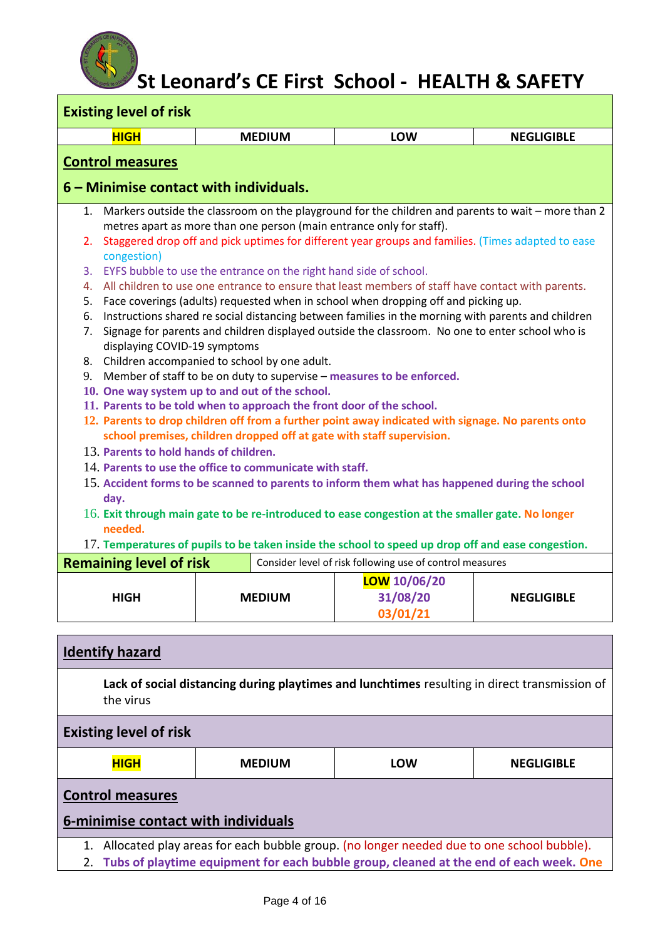| <b>Existing level of risk</b>                                                                               |                                                                          |                                                                                                       |                   |  |  |  |
|-------------------------------------------------------------------------------------------------------------|--------------------------------------------------------------------------|-------------------------------------------------------------------------------------------------------|-------------------|--|--|--|
| <b>HIGH</b>                                                                                                 | <b>MEDIUM</b>                                                            | LOW                                                                                                   | <b>NEGLIGIBLE</b> |  |  |  |
| <b>Control measures</b>                                                                                     |                                                                          |                                                                                                       |                   |  |  |  |
| 6 – Minimise contact with individuals.                                                                      |                                                                          |                                                                                                       |                   |  |  |  |
|                                                                                                             |                                                                          | 1. Markers outside the classroom on the playground for the children and parents to wait - more than 2 |                   |  |  |  |
|                                                                                                             | metres apart as more than one person (main entrance only for staff).     |                                                                                                       |                   |  |  |  |
| 2.<br>congestion)                                                                                           |                                                                          | Staggered drop off and pick uptimes for different year groups and families. (Times adapted to ease    |                   |  |  |  |
|                                                                                                             | 3. EYFS bubble to use the entrance on the right hand side of school.     |                                                                                                       |                   |  |  |  |
|                                                                                                             |                                                                          | 4. All children to use one entrance to ensure that least members of staff have contact with parents.  |                   |  |  |  |
|                                                                                                             |                                                                          | 5. Face coverings (adults) requested when in school when dropping off and picking up.                 |                   |  |  |  |
|                                                                                                             |                                                                          | 6. Instructions shared re social distancing between families in the morning with parents and children |                   |  |  |  |
| 7.<br>displaying COVID-19 symptoms                                                                          |                                                                          | Signage for parents and children displayed outside the classroom. No one to enter school who is       |                   |  |  |  |
|                                                                                                             | 8. Children accompanied to school by one adult.                          |                                                                                                       |                   |  |  |  |
|                                                                                                             | 9. Member of staff to be on duty to supervise - measures to be enforced. |                                                                                                       |                   |  |  |  |
|                                                                                                             | 10. One way system up to and out of the school.                          |                                                                                                       |                   |  |  |  |
|                                                                                                             | 11. Parents to be told when to approach the front door of the school.    |                                                                                                       |                   |  |  |  |
|                                                                                                             | school premises, children dropped off at gate with staff supervision.    | 12. Parents to drop children off from a further point away indicated with signage. No parents onto    |                   |  |  |  |
| 13. Parents to hold hands of children.                                                                      |                                                                          |                                                                                                       |                   |  |  |  |
|                                                                                                             | 14. Parents to use the office to communicate with staff.                 |                                                                                                       |                   |  |  |  |
| day.                                                                                                        |                                                                          | 15. Accident forms to be scanned to parents to inform them what has happened during the school        |                   |  |  |  |
| 16. Exit through main gate to be re-introduced to ease congestion at the smaller gate. No longer<br>needed. |                                                                          |                                                                                                       |                   |  |  |  |
| 17. Temperatures of pupils to be taken inside the school to speed up drop off and ease congestion.          |                                                                          |                                                                                                       |                   |  |  |  |
| <b>Remaining level of risk</b>                                                                              |                                                                          | Consider level of risk following use of control measures                                              |                   |  |  |  |
|                                                                                                             |                                                                          | <b>LOW</b> 10/06/20                                                                                   |                   |  |  |  |
| <b>HIGH</b>                                                                                                 | <b>MEDIUM</b>                                                            | 31/08/20                                                                                              | <b>NEGLIGIBLE</b> |  |  |  |
|                                                                                                             |                                                                          | 03/01/21                                                                                              |                   |  |  |  |
|                                                                                                             |                                                                          |                                                                                                       |                   |  |  |  |

| <b>Identify hazard</b>                                                                                                                                                                   |               |     |                   |  |  |
|------------------------------------------------------------------------------------------------------------------------------------------------------------------------------------------|---------------|-----|-------------------|--|--|
| Lack of social distancing during playtimes and lunchtimes resulting in direct transmission of<br>the virus                                                                               |               |     |                   |  |  |
| <b>Existing level of risk</b>                                                                                                                                                            |               |     |                   |  |  |
| <b>HIGH</b>                                                                                                                                                                              | <b>MEDIUM</b> | LOW | <b>NEGLIGIBLE</b> |  |  |
| <b>Control measures</b><br>6-minimise contact with individuals                                                                                                                           |               |     |                   |  |  |
| Allocated play areas for each bubble group. (no longer needed due to one school bubble).<br>1.<br>Tubs of playtime equipment for each bubble group, cleaned at the end of each week. One |               |     |                   |  |  |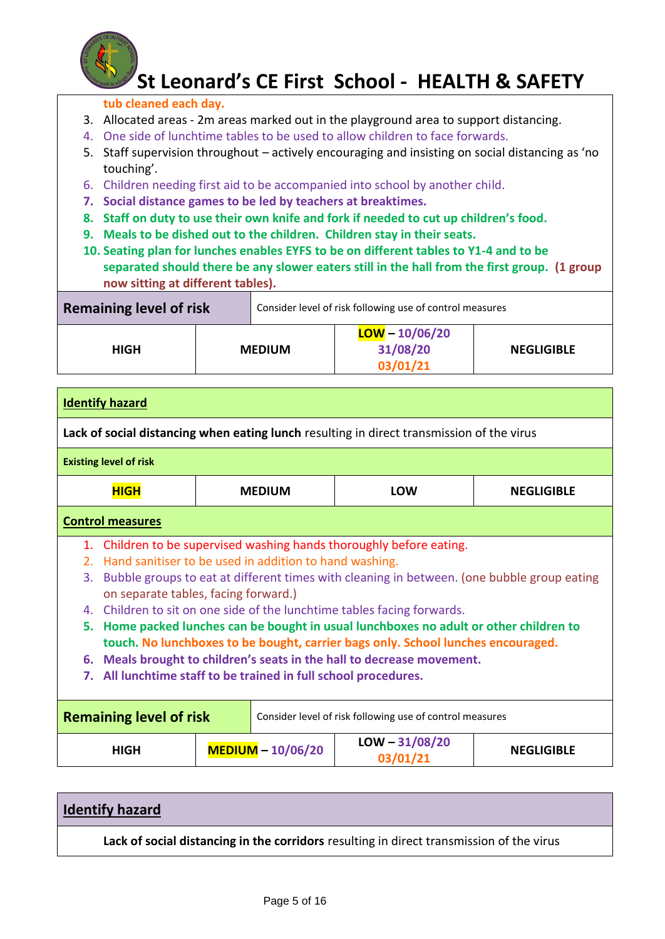

### **tub cleaned each day.**

- 3. Allocated areas 2m areas marked out in the playground area to support distancing.
- 4. One side of lunchtime tables to be used to allow children to face forwards.
- 5. Staff supervision throughout actively encouraging and insisting on social distancing as 'no touching'.
- 6. Children needing first aid to be accompanied into school by another child.
- **7. Social distance games to be led by teachers at breaktimes.**
- **8. Staff on duty to use their own knife and fork if needed to cut up children's food.**
- **9. Meals to be dished out to the children. Children stay in their seats.**
- **10. Seating plan for lunches enables EYFS to be on different tables to Y1-4 and to be separated should there be any slower eaters still in the hall from the first group. (1 group now sitting at different tables).**

| <b>Remaining level of risk</b> |               | Consider level of risk following use of control measures |                   |
|--------------------------------|---------------|----------------------------------------------------------|-------------------|
| <b>HIGH</b>                    | <b>MEDIUM</b> | $LOW - 10/06/20$<br>31/08/20<br>03/01/21                 | <b>NEGLIGIBLE</b> |

|                                                                                                                                                                                                                                                                                                                                                                                                                                                                                                                                                                                                                                                                                        | <b>Identify hazard</b>        |  |                     |                                                                                           |                   |  |
|----------------------------------------------------------------------------------------------------------------------------------------------------------------------------------------------------------------------------------------------------------------------------------------------------------------------------------------------------------------------------------------------------------------------------------------------------------------------------------------------------------------------------------------------------------------------------------------------------------------------------------------------------------------------------------------|-------------------------------|--|---------------------|-------------------------------------------------------------------------------------------|-------------------|--|
|                                                                                                                                                                                                                                                                                                                                                                                                                                                                                                                                                                                                                                                                                        |                               |  |                     | Lack of social distancing when eating lunch resulting in direct transmission of the virus |                   |  |
|                                                                                                                                                                                                                                                                                                                                                                                                                                                                                                                                                                                                                                                                                        | <b>Existing level of risk</b> |  |                     |                                                                                           |                   |  |
|                                                                                                                                                                                                                                                                                                                                                                                                                                                                                                                                                                                                                                                                                        | <b>HIGH</b>                   |  | <b>MEDIUM</b>       | <b>LOW</b>                                                                                | <b>NEGLIGIBLE</b> |  |
|                                                                                                                                                                                                                                                                                                                                                                                                                                                                                                                                                                                                                                                                                        | <b>Control measures</b>       |  |                     |                                                                                           |                   |  |
| 1. Children to be supervised washing hands thoroughly before eating.<br>Hand sanitiser to be used in addition to hand washing.<br>2.<br>Bubble groups to eat at different times with cleaning in between. (one bubble group eating<br>3.<br>on separate tables, facing forward.)<br>4. Children to sit on one side of the lunchtime tables facing forwards.<br>5. Home packed lunches can be bought in usual lunchboxes no adult or other children to<br>touch. No lunchboxes to be bought, carrier bags only. School lunches encouraged.<br>6. Meals brought to children's seats in the hall to decrease movement.<br>7. All lunchtime staff to be trained in full school procedures. |                               |  |                     |                                                                                           |                   |  |
| <b>Remaining level of risk</b><br>Consider level of risk following use of control measures                                                                                                                                                                                                                                                                                                                                                                                                                                                                                                                                                                                             |                               |  |                     |                                                                                           |                   |  |
|                                                                                                                                                                                                                                                                                                                                                                                                                                                                                                                                                                                                                                                                                        | <b>HIGH</b>                   |  | $MEDIUM - 10/06/20$ | $LOW - 31/08/20$<br>03/01/21                                                              | <b>NEGLIGIBLE</b> |  |

| <b>Identify hazard</b>                                                                   |
|------------------------------------------------------------------------------------------|
| Lack of social distancing in the corridors resulting in direct transmission of the virus |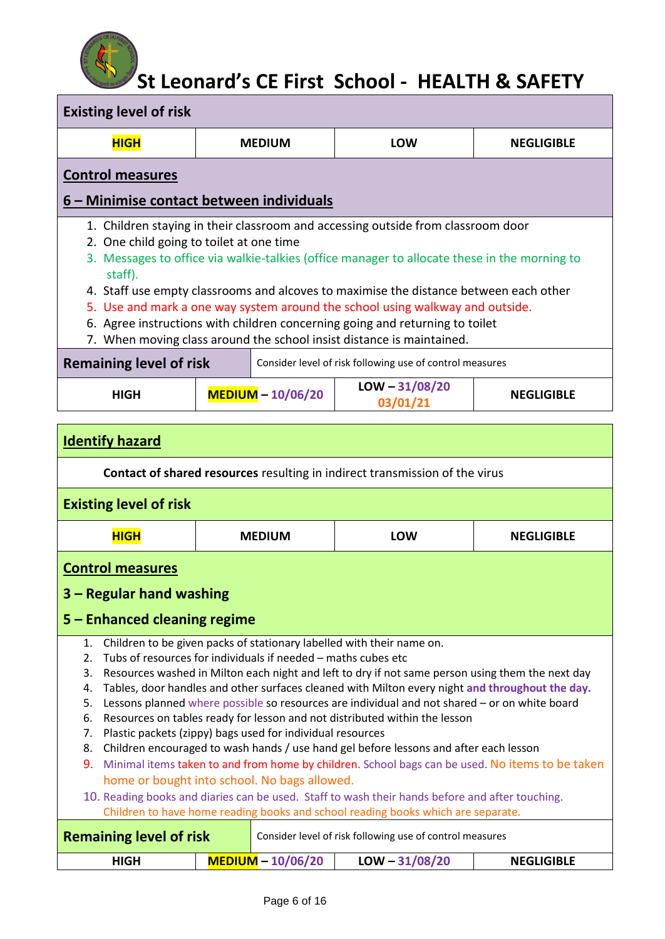| <b>Existing level of risk</b>                       |                                                                       |                                                                                                                                                                                                                                                                                                                                                                                                                                            |                   |  |  |  |
|-----------------------------------------------------|-----------------------------------------------------------------------|--------------------------------------------------------------------------------------------------------------------------------------------------------------------------------------------------------------------------------------------------------------------------------------------------------------------------------------------------------------------------------------------------------------------------------------------|-------------------|--|--|--|
| <b>HIGH</b>                                         | <b>MEDIUM</b>                                                         | LOW                                                                                                                                                                                                                                                                                                                                                                                                                                        | <b>NEGLIGIBLE</b> |  |  |  |
| <b>Control measures</b>                             |                                                                       |                                                                                                                                                                                                                                                                                                                                                                                                                                            |                   |  |  |  |
|                                                     | 6 – Minimise contact between individuals                              |                                                                                                                                                                                                                                                                                                                                                                                                                                            |                   |  |  |  |
| 2. One child going to toilet at one time<br>staff). | 7. When moving class around the school insist distance is maintained. | 1. Children staying in their classroom and accessing outside from classroom door<br>3. Messages to office via walkie-talkies (office manager to allocate these in the morning to<br>4. Staff use empty classrooms and alcoves to maximise the distance between each other<br>5. Use and mark a one way system around the school using walkway and outside.<br>6. Agree instructions with children concerning going and returning to toilet |                   |  |  |  |

| <b>Remaining level of risk</b> |  | Consider level of risk following use of control measures |                              |                   |
|--------------------------------|--|----------------------------------------------------------|------------------------------|-------------------|
| HIGH                           |  | MEDIUM - 10/06/20                                        | $LOW - 31/08/20$<br>03/01/21 | <b>NEGLIGIBLE</b> |

| <b>Identify hazard</b>                                                                                                                                                                                                                                              |                     |                                                                                                                                                                                                                                                                                                                                                                                                                                                                                                                                                                                                                                                                                                                                                                                                                                                                                                            |                   |
|---------------------------------------------------------------------------------------------------------------------------------------------------------------------------------------------------------------------------------------------------------------------|---------------------|------------------------------------------------------------------------------------------------------------------------------------------------------------------------------------------------------------------------------------------------------------------------------------------------------------------------------------------------------------------------------------------------------------------------------------------------------------------------------------------------------------------------------------------------------------------------------------------------------------------------------------------------------------------------------------------------------------------------------------------------------------------------------------------------------------------------------------------------------------------------------------------------------------|-------------------|
|                                                                                                                                                                                                                                                                     |                     | Contact of shared resources resulting in indirect transmission of the virus                                                                                                                                                                                                                                                                                                                                                                                                                                                                                                                                                                                                                                                                                                                                                                                                                                |                   |
| <b>Existing level of risk</b>                                                                                                                                                                                                                                       |                     |                                                                                                                                                                                                                                                                                                                                                                                                                                                                                                                                                                                                                                                                                                                                                                                                                                                                                                            |                   |
| <b>HIGH</b>                                                                                                                                                                                                                                                         | <b>MEDIUM</b>       | <b>LOW</b>                                                                                                                                                                                                                                                                                                                                                                                                                                                                                                                                                                                                                                                                                                                                                                                                                                                                                                 | <b>NEGLIGIBLE</b> |
| <b>Control measures</b>                                                                                                                                                                                                                                             |                     |                                                                                                                                                                                                                                                                                                                                                                                                                                                                                                                                                                                                                                                                                                                                                                                                                                                                                                            |                   |
| 3 – Regular hand washing                                                                                                                                                                                                                                            |                     |                                                                                                                                                                                                                                                                                                                                                                                                                                                                                                                                                                                                                                                                                                                                                                                                                                                                                                            |                   |
| 5 - Enhanced cleaning regime                                                                                                                                                                                                                                        |                     |                                                                                                                                                                                                                                                                                                                                                                                                                                                                                                                                                                                                                                                                                                                                                                                                                                                                                                            |                   |
| 1.<br>Tubs of resources for individuals if needed - maths cubes etc<br>2.<br>3.<br>4.<br>5.<br>6.<br>Plastic packets (zippy) bags used for individual resources<br>7.<br>8.<br>9.<br>home or bought into school. No bags allowed.<br><b>Remaining level of risk</b> |                     | Children to be given packs of stationary labelled with their name on.<br>Resources washed in Milton each night and left to dry if not same person using them the next day<br>Tables, door handles and other surfaces cleaned with Milton every night and throughout the day.<br>Lessons planned where possible so resources are individual and not shared - or on white board<br>Resources on tables ready for lesson and not distributed within the lesson<br>Children encouraged to wash hands / use hand gel before lessons and after each lesson<br>Minimal items taken to and from home by children. School bags can be used. No items to be taken<br>10. Reading books and diaries can be used. Staff to wash their hands before and after touching.<br>Children to have home reading books and school reading books which are separate.<br>Consider level of risk following use of control measures |                   |
| <b>HIGH</b>                                                                                                                                                                                                                                                         | $MEDIUM - 10/06/20$ | $LOW - 31/08/20$                                                                                                                                                                                                                                                                                                                                                                                                                                                                                                                                                                                                                                                                                                                                                                                                                                                                                           | <b>NEGLIGIBLE</b> |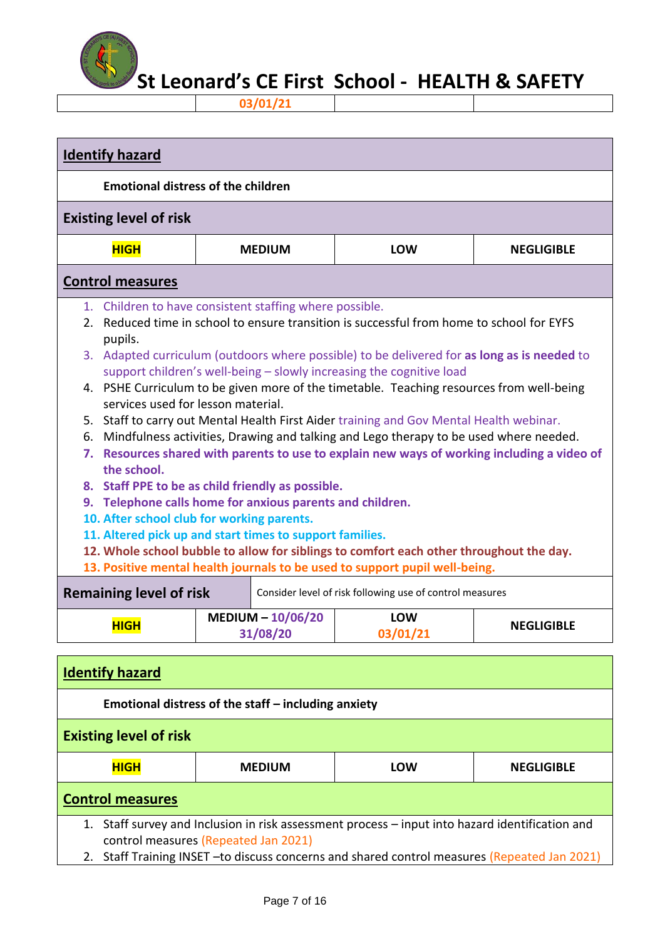

**03/01/21**

| <b>Identify hazard</b>                                                                                |                                                                                                                                                                                                                                                                                                                                                                                                                                                                                                                                                                                                                                                                                                                                                                                                                                                                                                                                                                                                                                                                            |                                 |                                                          |                   |  |
|-------------------------------------------------------------------------------------------------------|----------------------------------------------------------------------------------------------------------------------------------------------------------------------------------------------------------------------------------------------------------------------------------------------------------------------------------------------------------------------------------------------------------------------------------------------------------------------------------------------------------------------------------------------------------------------------------------------------------------------------------------------------------------------------------------------------------------------------------------------------------------------------------------------------------------------------------------------------------------------------------------------------------------------------------------------------------------------------------------------------------------------------------------------------------------------------|---------------------------------|----------------------------------------------------------|-------------------|--|
| <b>Emotional distress of the children</b>                                                             |                                                                                                                                                                                                                                                                                                                                                                                                                                                                                                                                                                                                                                                                                                                                                                                                                                                                                                                                                                                                                                                                            |                                 |                                                          |                   |  |
| <b>Existing level of risk</b>                                                                         |                                                                                                                                                                                                                                                                                                                                                                                                                                                                                                                                                                                                                                                                                                                                                                                                                                                                                                                                                                                                                                                                            |                                 |                                                          |                   |  |
| <b>HIGH</b>                                                                                           |                                                                                                                                                                                                                                                                                                                                                                                                                                                                                                                                                                                                                                                                                                                                                                                                                                                                                                                                                                                                                                                                            | <b>MEDIUM</b>                   | <b>LOW</b>                                               | <b>NEGLIGIBLE</b> |  |
| <b>Control measures</b>                                                                               |                                                                                                                                                                                                                                                                                                                                                                                                                                                                                                                                                                                                                                                                                                                                                                                                                                                                                                                                                                                                                                                                            |                                 |                                                          |                   |  |
| pupils.<br>the school.<br>13. Positive mental health journals to be used to support pupil well-being. | 1. Children to have consistent staffing where possible.<br>2. Reduced time in school to ensure transition is successful from home to school for EYFS<br>3. Adapted curriculum (outdoors where possible) to be delivered for as long as is needed to<br>support children's well-being - slowly increasing the cognitive load<br>4. PSHE Curriculum to be given more of the timetable. Teaching resources from well-being<br>services used for lesson material.<br>5. Staff to carry out Mental Health First Aider training and Gov Mental Health webinar.<br>6. Mindfulness activities, Drawing and talking and Lego therapy to be used where needed.<br>7. Resources shared with parents to use to explain new ways of working including a video of<br>8. Staff PPE to be as child friendly as possible.<br>9. Telephone calls home for anxious parents and children.<br>10. After school club for working parents.<br>11. Altered pick up and start times to support families.<br>12. Whole school bubble to allow for siblings to comfort each other throughout the day. |                                 |                                                          |                   |  |
| <b>Remaining level of risk</b>                                                                        |                                                                                                                                                                                                                                                                                                                                                                                                                                                                                                                                                                                                                                                                                                                                                                                                                                                                                                                                                                                                                                                                            |                                 | Consider level of risk following use of control measures |                   |  |
| <b>HIGH</b>                                                                                           |                                                                                                                                                                                                                                                                                                                                                                                                                                                                                                                                                                                                                                                                                                                                                                                                                                                                                                                                                                                                                                                                            | MEDIUM $- 10/06/20$<br>31/08/20 | <b>LOW</b><br>03/01/21                                   | <b>NEGLIGIBLE</b> |  |
| <b>Identify hazard</b>                                                                                |                                                                                                                                                                                                                                                                                                                                                                                                                                                                                                                                                                                                                                                                                                                                                                                                                                                                                                                                                                                                                                                                            |                                 |                                                          |                   |  |
| Emotional distress of the staff - including anxiety                                                   |                                                                                                                                                                                                                                                                                                                                                                                                                                                                                                                                                                                                                                                                                                                                                                                                                                                                                                                                                                                                                                                                            |                                 |                                                          |                   |  |
| <b>Existing level of risk</b>                                                                         |                                                                                                                                                                                                                                                                                                                                                                                                                                                                                                                                                                                                                                                                                                                                                                                                                                                                                                                                                                                                                                                                            |                                 |                                                          |                   |  |
| <b>HIGH</b>                                                                                           |                                                                                                                                                                                                                                                                                                                                                                                                                                                                                                                                                                                                                                                                                                                                                                                                                                                                                                                                                                                                                                                                            | <b>MEDIUM</b>                   | LOW                                                      | <b>NEGLIGIBLE</b> |  |

### **Control measures**

1. Staff survey and Inclusion in risk assessment process – input into hazard identification and control measures (Repeated Jan 2021)

2. Staff Training INSET -to discuss concerns and shared control measures (Repeated Jan 2021)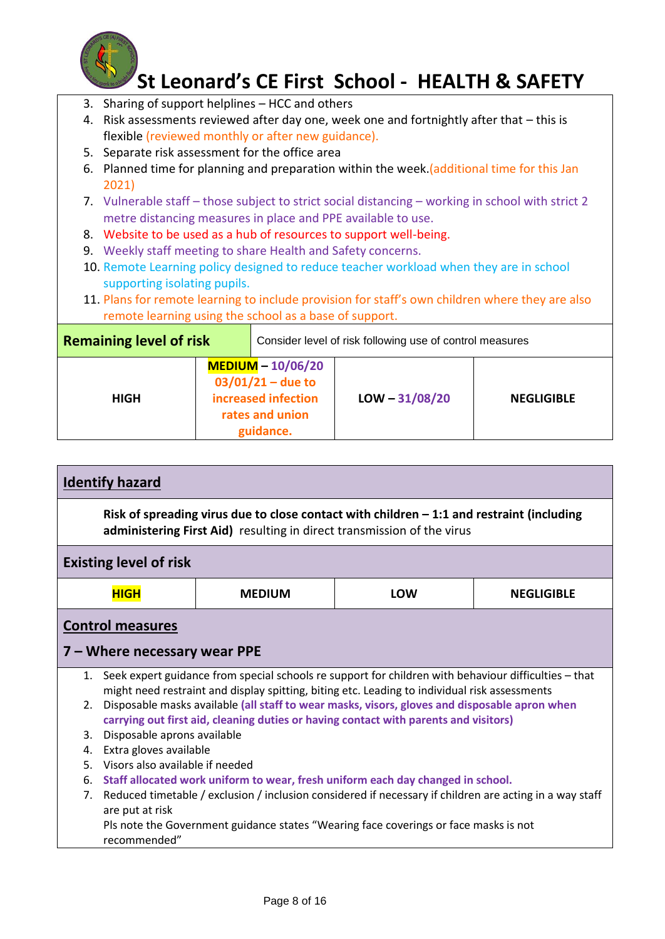

- 3. Sharing of support helplines HCC and others
- 4. Risk assessments reviewed after day one, week one and fortnightly after that this is flexible (reviewed monthly or after new guidance).
- 5. Separate risk assessment for the office area
- 6. Planned time for planning and preparation within the week.(additional time for this Jan 2021)
- 7. Vulnerable staff those subject to strict social distancing working in school with strict 2 metre distancing measures in place and PPE available to use.
- 8. Website to be used as a hub of resources to support well-being.
- 9. Weekly staff meeting to share Health and Safety concerns.
- 10. Remote Learning policy designed to reduce teacher workload when they are in school supporting isolating pupils.
- 11. Plans for remote learning to include provision for staff's own children where they are also remote learning using the school as a base of support.

| <b>Remaining level of risk</b> |  |                                                                                                 | Consider level of risk following use of control measures |                   |
|--------------------------------|--|-------------------------------------------------------------------------------------------------|----------------------------------------------------------|-------------------|
| <b>HIGH</b>                    |  | MEDIUM - 10/06/20<br>$03/01/21 -$ due to<br>increased infection<br>rates and union<br>guidance. | $LOW - 31/08/20$                                         | <b>NEGLIGIBLE</b> |

|    | <b>Identify hazard</b>                                                                                                                                                                                                                                                                       |               |                                                                                                                                                                      |                   |
|----|----------------------------------------------------------------------------------------------------------------------------------------------------------------------------------------------------------------------------------------------------------------------------------------------|---------------|----------------------------------------------------------------------------------------------------------------------------------------------------------------------|-------------------|
|    |                                                                                                                                                                                                                                                                                              |               | Risk of spreading virus due to close contact with children $-1:1$ and restraint (including<br>administering First Aid) resulting in direct transmission of the virus |                   |
|    | <b>Existing level of risk</b>                                                                                                                                                                                                                                                                |               |                                                                                                                                                                      |                   |
|    | <b>HIGH</b>                                                                                                                                                                                                                                                                                  | <b>MEDIUM</b> | <b>LOW</b>                                                                                                                                                           | <b>NEGLIGIBLE</b> |
|    | <b>Control measures</b>                                                                                                                                                                                                                                                                      |               |                                                                                                                                                                      |                   |
|    | 7 – Where necessary wear PPE                                                                                                                                                                                                                                                                 |               |                                                                                                                                                                      |                   |
| 1. |                                                                                                                                                                                                                                                                                              |               | Seek expert guidance from special schools re support for children with behaviour difficulties - that                                                                 |                   |
|    | might need restraint and display spitting, biting etc. Leading to individual risk assessments<br>Disposable masks available (all staff to wear masks, visors, gloves and disposable apron when<br>2.<br>carrying out first aid, cleaning duties or having contact with parents and visitors) |               |                                                                                                                                                                      |                   |
| 3. | Disposable aprons available                                                                                                                                                                                                                                                                  |               |                                                                                                                                                                      |                   |
| 4. | Extra gloves available                                                                                                                                                                                                                                                                       |               |                                                                                                                                                                      |                   |
| 5. | Visors also available if needed                                                                                                                                                                                                                                                              |               |                                                                                                                                                                      |                   |
| 6. | Staff allocated work uniform to wear, fresh uniform each day changed in school.                                                                                                                                                                                                              |               |                                                                                                                                                                      |                   |
| 7. | Reduced timetable / exclusion / inclusion considered if necessary if children are acting in a way staff<br>are put at risk                                                                                                                                                                   |               |                                                                                                                                                                      |                   |
|    | recommended"                                                                                                                                                                                                                                                                                 |               | Pls note the Government guidance states "Wearing face coverings or face masks is not                                                                                 |                   |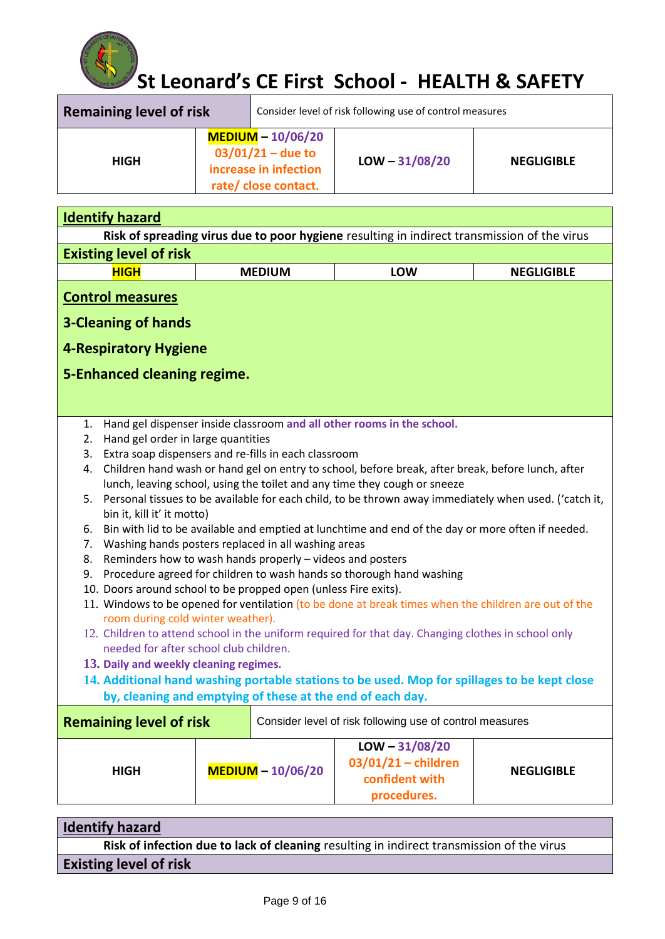

| <b>Remaining level of risk</b> |  |                                                                                            | Consider level of risk following use of control measures |                   |
|--------------------------------|--|--------------------------------------------------------------------------------------------|----------------------------------------------------------|-------------------|
| <b>HIGH</b>                    |  | $MEDIUM - 10/06/20$<br>$03/01/21 -$ due to<br>increase in infection<br>rate/close contact. | $LOW - 31/08/20$                                         | <b>NEGLIGIBLE</b> |

| <b>Identify hazard</b>                                                                                                                                                                                                                                                                                                                                                                                                                                                                                                                                                                                                                                                                                                                                                                                                                                                                                                                                                                                                                                                                                                                                                                                                                                                                                                                                          |  |                     |                                                                                             |                   |  |
|-----------------------------------------------------------------------------------------------------------------------------------------------------------------------------------------------------------------------------------------------------------------------------------------------------------------------------------------------------------------------------------------------------------------------------------------------------------------------------------------------------------------------------------------------------------------------------------------------------------------------------------------------------------------------------------------------------------------------------------------------------------------------------------------------------------------------------------------------------------------------------------------------------------------------------------------------------------------------------------------------------------------------------------------------------------------------------------------------------------------------------------------------------------------------------------------------------------------------------------------------------------------------------------------------------------------------------------------------------------------|--|---------------------|---------------------------------------------------------------------------------------------|-------------------|--|
|                                                                                                                                                                                                                                                                                                                                                                                                                                                                                                                                                                                                                                                                                                                                                                                                                                                                                                                                                                                                                                                                                                                                                                                                                                                                                                                                                                 |  |                     | Risk of spreading virus due to poor hygiene resulting in indirect transmission of the virus |                   |  |
| <b>Existing level of risk</b>                                                                                                                                                                                                                                                                                                                                                                                                                                                                                                                                                                                                                                                                                                                                                                                                                                                                                                                                                                                                                                                                                                                                                                                                                                                                                                                                   |  |                     |                                                                                             |                   |  |
| <b>HIGH</b>                                                                                                                                                                                                                                                                                                                                                                                                                                                                                                                                                                                                                                                                                                                                                                                                                                                                                                                                                                                                                                                                                                                                                                                                                                                                                                                                                     |  | <b>MEDIUM</b>       | LOW                                                                                         | <b>NEGLIGIBLE</b> |  |
| <b>Control measures</b><br><b>3-Cleaning of hands</b>                                                                                                                                                                                                                                                                                                                                                                                                                                                                                                                                                                                                                                                                                                                                                                                                                                                                                                                                                                                                                                                                                                                                                                                                                                                                                                           |  |                     |                                                                                             |                   |  |
|                                                                                                                                                                                                                                                                                                                                                                                                                                                                                                                                                                                                                                                                                                                                                                                                                                                                                                                                                                                                                                                                                                                                                                                                                                                                                                                                                                 |  |                     |                                                                                             |                   |  |
| <b>4-Respiratory Hygiene</b>                                                                                                                                                                                                                                                                                                                                                                                                                                                                                                                                                                                                                                                                                                                                                                                                                                                                                                                                                                                                                                                                                                                                                                                                                                                                                                                                    |  |                     |                                                                                             |                   |  |
| 5-Enhanced cleaning regime.                                                                                                                                                                                                                                                                                                                                                                                                                                                                                                                                                                                                                                                                                                                                                                                                                                                                                                                                                                                                                                                                                                                                                                                                                                                                                                                                     |  |                     |                                                                                             |                   |  |
| Hand gel dispenser inside classroom and all other rooms in the school.<br>1.<br>Hand gel order in large quantities<br>2.<br>Extra soap dispensers and re-fills in each classroom<br>3.<br>Children hand wash or hand gel on entry to school, before break, after break, before lunch, after<br>4.<br>lunch, leaving school, using the toilet and any time they cough or sneeze<br>Personal tissues to be available for each child, to be thrown away immediately when used. ('catch it,<br>5.<br>bin it, kill it' it motto)<br>Bin with lid to be available and emptied at lunchtime and end of the day or more often if needed.<br>6.<br>Washing hands posters replaced in all washing areas<br>7.<br>Reminders how to wash hands properly - videos and posters<br>8.<br>Procedure agreed for children to wash hands so thorough hand washing<br>9.<br>10. Doors around school to be propped open (unless Fire exits).<br>11. Windows to be opened for ventilation (to be done at break times when the children are out of the<br>room during cold winter weather).<br>12. Children to attend school in the uniform required for that day. Changing clothes in school only<br>needed for after school club children.<br>13. Daily and weekly cleaning regimes.<br>14. Additional hand washing portable stations to be used. Mop for spillages to be kept close |  |                     |                                                                                             |                   |  |
| <b>Remaining level of risk</b>                                                                                                                                                                                                                                                                                                                                                                                                                                                                                                                                                                                                                                                                                                                                                                                                                                                                                                                                                                                                                                                                                                                                                                                                                                                                                                                                  |  |                     | Consider level of risk following use of control measures<br>$LOW - 31/08/20$                |                   |  |
| <b>HIGH</b>                                                                                                                                                                                                                                                                                                                                                                                                                                                                                                                                                                                                                                                                                                                                                                                                                                                                                                                                                                                                                                                                                                                                                                                                                                                                                                                                                     |  | $MEDIUM - 10/06/20$ | $03/01/21$ - children<br>confident with<br>procedures.                                      | <b>NEGLIGIBLE</b> |  |

| <b>Identify hazard</b>                                                                    |
|-------------------------------------------------------------------------------------------|
| Risk of infection due to lack of cleaning resulting in indirect transmission of the virus |
| <b>Existing level of risk</b>                                                             |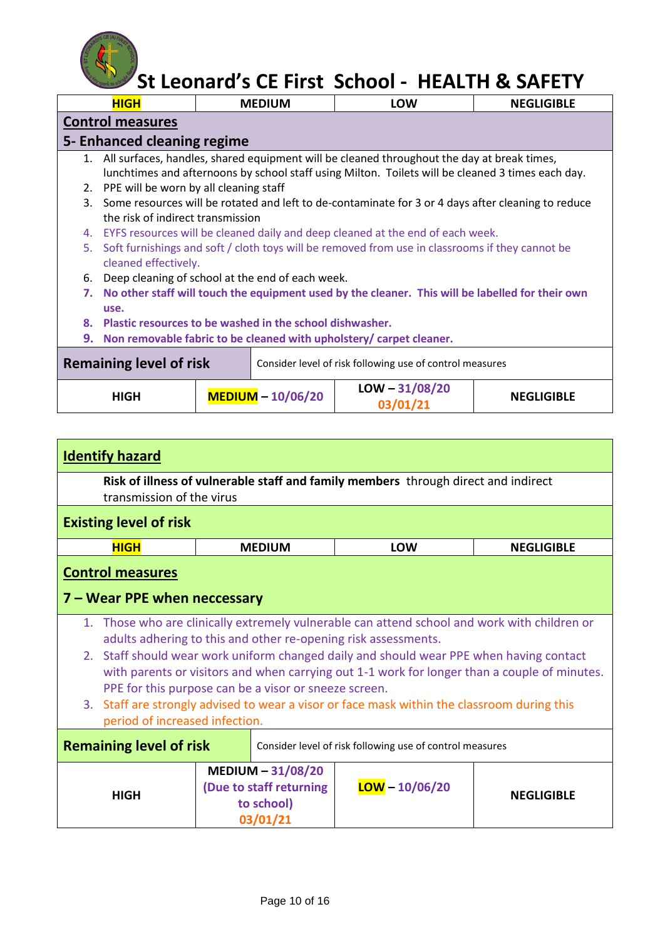

|    | St Leonard's CE First School - HEALTH & SAFETY                                      |  |                     |                                                                                                     |                   |  |  |
|----|-------------------------------------------------------------------------------------|--|---------------------|-----------------------------------------------------------------------------------------------------|-------------------|--|--|
|    | <b>HIGH</b>                                                                         |  | <b>MEDIUM</b>       | <b>LOW</b>                                                                                          | <b>NEGLIGIBLE</b> |  |  |
|    | <b>Control measures</b>                                                             |  |                     |                                                                                                     |                   |  |  |
|    | 5- Enhanced cleaning regime                                                         |  |                     |                                                                                                     |                   |  |  |
|    |                                                                                     |  |                     | 1. All surfaces, handles, shared equipment will be cleaned throughout the day at break times,       |                   |  |  |
|    |                                                                                     |  |                     | lunchtimes and afternoons by school staff using Milton. Toilets will be cleaned 3 times each day.   |                   |  |  |
|    | 2. PPE will be worn by all cleaning staff                                           |  |                     |                                                                                                     |                   |  |  |
| 3. |                                                                                     |  |                     | Some resources will be rotated and left to de-contaminate for 3 or 4 days after cleaning to reduce  |                   |  |  |
|    | the risk of indirect transmission                                                   |  |                     |                                                                                                     |                   |  |  |
|    |                                                                                     |  |                     | 4. EYFS resources will be cleaned daily and deep cleaned at the end of each week.                   |                   |  |  |
| 5. |                                                                                     |  |                     | Soft furnishings and soft / cloth toys will be removed from use in classrooms if they cannot be     |                   |  |  |
|    | cleaned effectively.                                                                |  |                     |                                                                                                     |                   |  |  |
| 6. | Deep cleaning of school at the end of each week.                                    |  |                     |                                                                                                     |                   |  |  |
|    |                                                                                     |  |                     | 7. No other staff will touch the equipment used by the cleaner. This will be labelled for their own |                   |  |  |
|    | use.                                                                                |  |                     |                                                                                                     |                   |  |  |
|    | 8. Plastic resources to be washed in the school dishwasher.                         |  |                     |                                                                                                     |                   |  |  |
|    | 9. Non removable fabric to be cleaned with upholstery/ carpet cleaner.              |  |                     |                                                                                                     |                   |  |  |
|    |                                                                                     |  |                     |                                                                                                     |                   |  |  |
|    | Remaining level of risk<br>Consider level of risk following use of control measures |  |                     |                                                                                                     |                   |  |  |
|    |                                                                                     |  |                     | $LOW - 31/08/20$                                                                                    |                   |  |  |
|    | <b>HIGH</b>                                                                         |  | $MEDIUM - 10/06/20$ | 03/01/21                                                                                            | <b>NEGLIGIBLE</b> |  |  |

| <b>Identify hazard</b>                                                                     |                                                                |                                                                                              |                   |  |
|--------------------------------------------------------------------------------------------|----------------------------------------------------------------|----------------------------------------------------------------------------------------------|-------------------|--|
| transmission of the virus                                                                  |                                                                | Risk of illness of vulnerable staff and family members through direct and indirect           |                   |  |
| <b>Existing level of risk</b>                                                              |                                                                |                                                                                              |                   |  |
| <b>HIGH</b>                                                                                | <b>MEDIUM</b>                                                  | <b>LOW</b>                                                                                   | <b>NEGLIGIBLE</b> |  |
| <b>Control measures</b><br>7 – Wear PPE when neccessary                                    |                                                                |                                                                                              |                   |  |
|                                                                                            |                                                                |                                                                                              |                   |  |
|                                                                                            |                                                                | 1. Those who are clinically extremely vulnerable can attend school and work with children or |                   |  |
|                                                                                            | adults adhering to this and other re-opening risk assessments. |                                                                                              |                   |  |
|                                                                                            |                                                                | 2. Staff should wear work uniform changed daily and should wear PPE when having contact      |                   |  |
|                                                                                            |                                                                | with parents or visitors and when carrying out 1-1 work for longer than a couple of minutes. |                   |  |
|                                                                                            | PPE for this purpose can be a visor or sneeze screen.          |                                                                                              |                   |  |
|                                                                                            |                                                                | 3. Staff are strongly advised to wear a visor or face mask within the classroom during this  |                   |  |
| period of increased infection.                                                             |                                                                |                                                                                              |                   |  |
| <b>Remaining level of risk</b><br>Consider level of risk following use of control measures |                                                                |                                                                                              |                   |  |
|                                                                                            | MEDIUM $-31/08/20$                                             |                                                                                              |                   |  |
| <b>HIGH</b>                                                                                | (Due to staff returning                                        | $LOW - 10/06/20$                                                                             |                   |  |
|                                                                                            | to school)                                                     |                                                                                              | <b>NEGLIGIBLE</b> |  |
|                                                                                            | 03/01/21                                                       |                                                                                              |                   |  |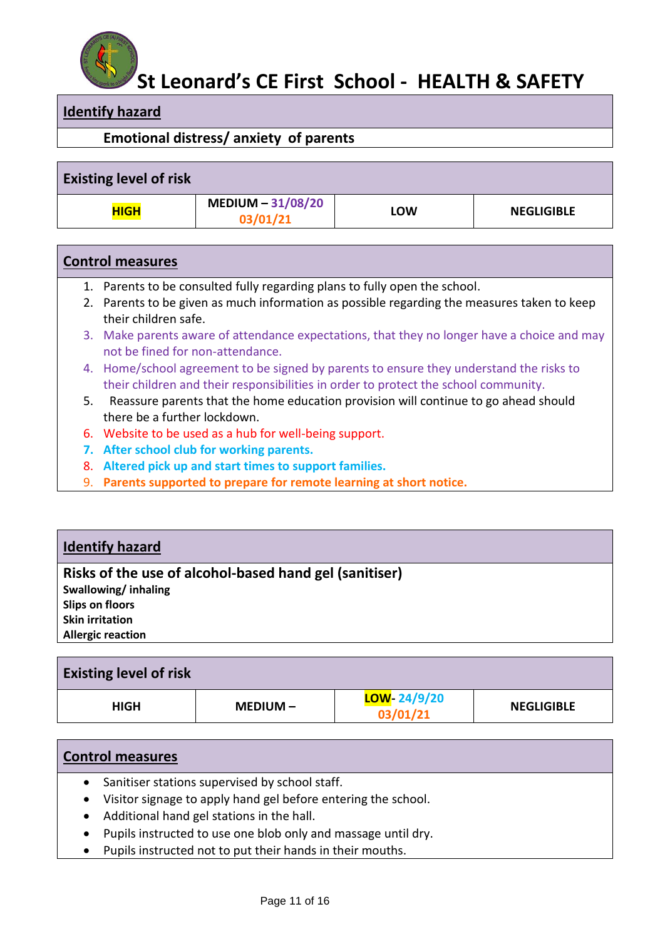

### **Identify hazard**

### **Emotional distress/ anxiety of parents**

| <b>Existing level of risk</b> |                                 |     |                   |
|-------------------------------|---------------------------------|-----|-------------------|
| <b>HIGH</b>                   | $MEDIUM - 31/08/20$<br>03/01/21 | LOW | <b>NEGLIGIBLE</b> |

#### **Control measures**

- 1. Parents to be consulted fully regarding plans to fully open the school.
- 2. Parents to be given as much information as possible regarding the measures taken to keep their children safe.
- 3. Make parents aware of attendance expectations, that they no longer have a choice and may not be fined for non-attendance.
- 4. Home/school agreement to be signed by parents to ensure they understand the risks to their children and their responsibilities in order to protect the school community.
- 5. Reassure parents that the home education provision will continue to go ahead should there be a further lockdown.
- 6. Website to be used as a hub for well-being support.
- **7. After school club for working parents.**
- 8. **Altered pick up and start times to support families.**
- 9. **Parents supported to prepare for remote learning at short notice.**

### **Identify hazard**

### **Risks of the use of alcohol-based hand gel (sanitiser)**

**Swallowing/ inhaling Slips on floors Skin irritation Allergic reaction**

| <b>Existing level of risk</b> |          |                          |                   |
|-------------------------------|----------|--------------------------|-------------------|
| <b>HIGH</b>                   | MEDIUM – | LOW- 24/9/20<br>03/01/21 | <b>NEGLIGIBLE</b> |

|           | <b>Control measures</b>                                       |  |  |  |  |
|-----------|---------------------------------------------------------------|--|--|--|--|
| $\bullet$ | Sanitiser stations supervised by school staff.                |  |  |  |  |
| $\bullet$ | Visitor signage to apply hand gel before entering the school. |  |  |  |  |
| $\bullet$ | Additional hand gel stations in the hall.                     |  |  |  |  |
| $\bullet$ | Pupils instructed to use one blob only and massage until dry. |  |  |  |  |
| $\bullet$ | Pupils instructed not to put their hands in their mouths.     |  |  |  |  |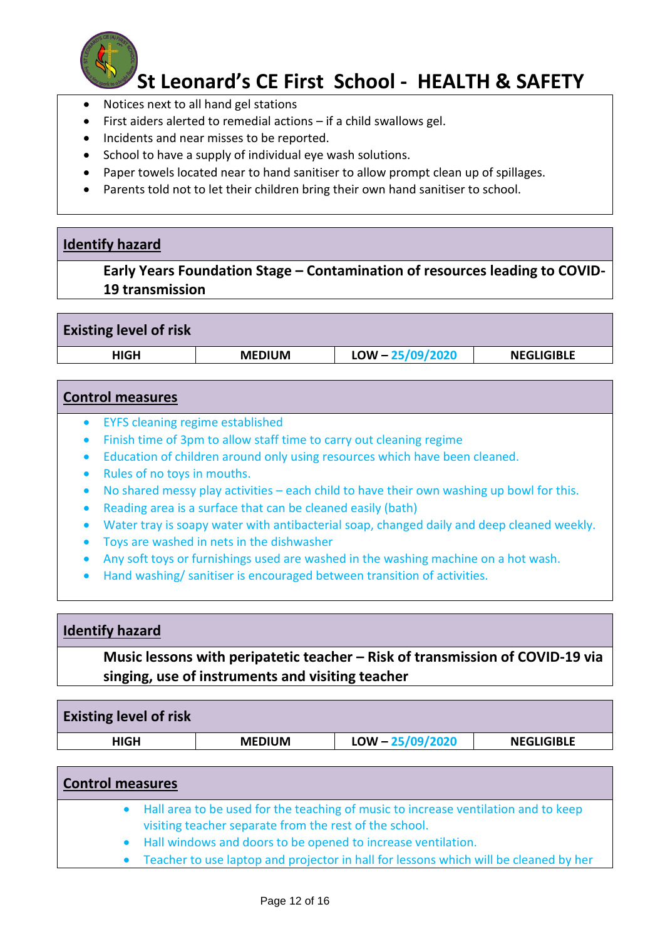

- Notices next to all hand gel stations
- First aiders alerted to remedial actions if a child swallows gel.
- Incidents and near misses to be reported.
- School to have a supply of individual eye wash solutions.
- Paper towels located near to hand sanitiser to allow prompt clean up of spillages.
- Parents told not to let their children bring their own hand sanitiser to school.

### **Identify hazard**

**Early Years Foundation Stage – Contamination of resources leading to COVID-19 transmission** 

| <b>Existing level of risk</b> |               |                    |                   |
|-------------------------------|---------------|--------------------|-------------------|
| HIGH                          | <b>MEDIUM</b> | $LOW - 25/09/2020$ | <b>NEGLIGIBLE</b> |
|                               |               |                    |                   |

### **Control measures**

- EYFS cleaning regime established
- Finish time of 3pm to allow staff time to carry out cleaning regime
- Education of children around only using resources which have been cleaned.
- Rules of no toys in mouths.
- No shared messy play activities each child to have their own washing up bowl for this.
- Reading area is a surface that can be cleaned easily (bath)
- Water tray is soapy water with antibacterial soap, changed daily and deep cleaned weekly.
- Toys are washed in nets in the dishwasher
- Any soft toys or furnishings used are washed in the washing machine on a hot wash.
- Hand washing/ sanitiser is encouraged between transition of activities.

#### **Identify hazard**

**Music lessons with peripatetic teacher – Risk of transmission of COVID-19 via singing, use of instruments and visiting teacher**

| <b>Existing level of risk</b> |               |                    |                   |
|-------------------------------|---------------|--------------------|-------------------|
| HIGH                          | <b>MEDIUM</b> | $LOW - 25/09/2020$ | <b>NEGLIGIBLE</b> |

| <b>Control measures</b> |                                                                                                                                                |  |  |
|-------------------------|------------------------------------------------------------------------------------------------------------------------------------------------|--|--|
|                         | • Hall area to be used for the teaching of music to increase ventilation and to keep<br>visiting teacher separate from the rest of the school. |  |  |
|                         | • Hall windows and doors to be opened to increase ventilation.                                                                                 |  |  |
|                         | Teacher to use laptop and projector in hall for lessons which will be cleaned by her                                                           |  |  |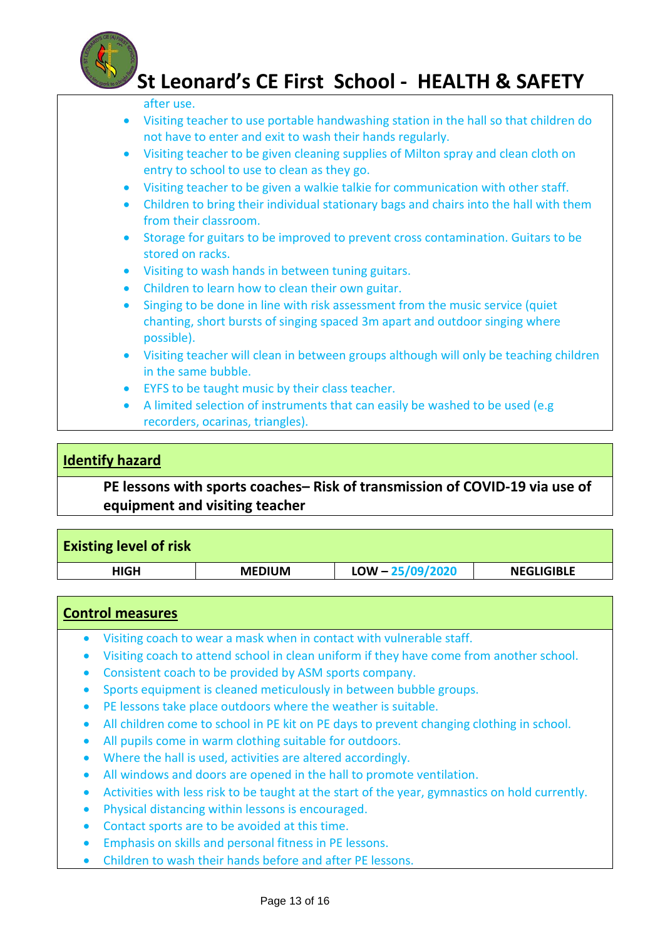

#### after use.

- Visiting teacher to use portable handwashing station in the hall so that children do not have to enter and exit to wash their hands regularly.
- Visiting teacher to be given cleaning supplies of Milton spray and clean cloth on entry to school to use to clean as they go.
- Visiting teacher to be given a walkie talkie for communication with other staff.
- Children to bring their individual stationary bags and chairs into the hall with them from their classroom.
- Storage for guitars to be improved to prevent cross contamination. Guitars to be stored on racks.
- Visiting to wash hands in between tuning guitars.
- Children to learn how to clean their own guitar.
- Singing to be done in line with risk assessment from the music service (quiet chanting, short bursts of singing spaced 3m apart and outdoor singing where possible).
- Visiting teacher will clean in between groups although will only be teaching children in the same bubble.
- EYFS to be taught music by their class teacher.
- A limited selection of instruments that can easily be washed to be used (e.g recorders, ocarinas, triangles).

### **Identify hazard**

**PE lessons with sports coaches– Risk of transmission of COVID-19 via use of equipment and visiting teacher**

| <b>Existing level of risk</b> |               |                    |                   |
|-------------------------------|---------------|--------------------|-------------------|
| <b>HIGH</b>                   | <b>MEDIUM</b> | $LOW - 25/09/2020$ | <b>NEGLIGIBLE</b> |
|                               |               |                    |                   |

#### **Control measures**

- Visiting coach to wear a mask when in contact with vulnerable staff.
- Visiting coach to attend school in clean uniform if they have come from another school.
- Consistent coach to be provided by ASM sports company.
- Sports equipment is cleaned meticulously in between bubble groups.
- PE lessons take place outdoors where the weather is suitable.
- All children come to school in PE kit on PE days to prevent changing clothing in school.
- All pupils come in warm clothing suitable for outdoors.
- Where the hall is used, activities are altered accordingly.
- All windows and doors are opened in the hall to promote ventilation.
- Activities with less risk to be taught at the start of the year, gymnastics on hold currently.
- Physical distancing within lessons is encouraged.
- Contact sports are to be avoided at this time.
- Emphasis on skills and personal fitness in PE lessons.
- Children to wash their hands before and after PE lessons.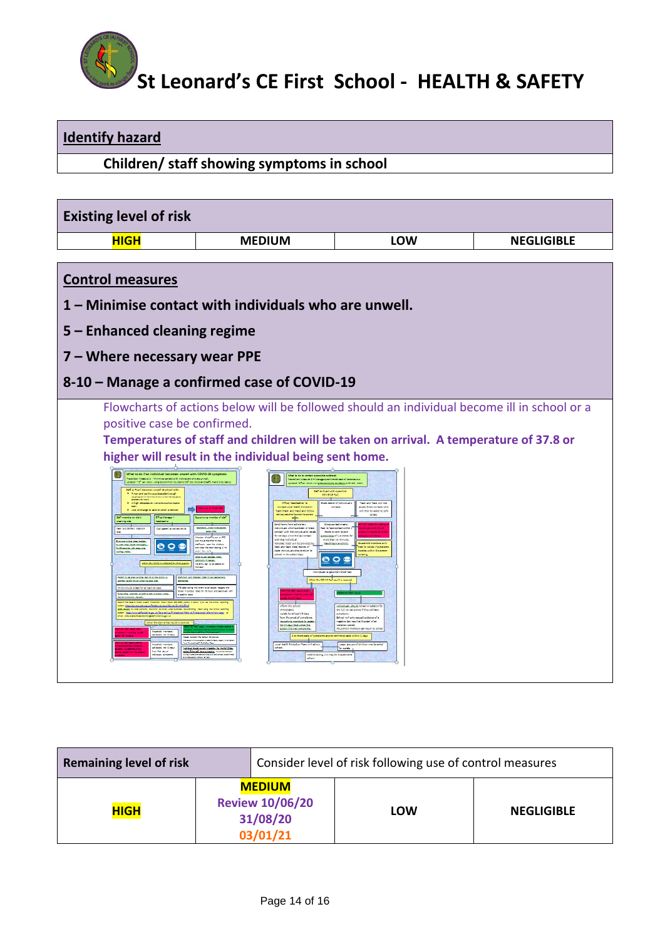

**Identify hazard**

| Children/ staff showing symptoms in school                                                                                                                                                                                                                                                                                                                                                                                                                                                                                                                                                                                                                                                                                                                                                                                                                                                                                                                                                                                                                                                    |                                                                                                                                                                                                                                                                                                                                                                                                                                                                                                                                                                                                                                                                                                                                                                                                                                                                                                                                                                                                                                                                                                                                                                                                                                                                                                                                                                                                                                                                                                                                                                                                                                                                                                                                            |                                                                                                                                                                                                                                                                                                                                                                                                                                                                                     |                   |  |  |  |
|-----------------------------------------------------------------------------------------------------------------------------------------------------------------------------------------------------------------------------------------------------------------------------------------------------------------------------------------------------------------------------------------------------------------------------------------------------------------------------------------------------------------------------------------------------------------------------------------------------------------------------------------------------------------------------------------------------------------------------------------------------------------------------------------------------------------------------------------------------------------------------------------------------------------------------------------------------------------------------------------------------------------------------------------------------------------------------------------------|--------------------------------------------------------------------------------------------------------------------------------------------------------------------------------------------------------------------------------------------------------------------------------------------------------------------------------------------------------------------------------------------------------------------------------------------------------------------------------------------------------------------------------------------------------------------------------------------------------------------------------------------------------------------------------------------------------------------------------------------------------------------------------------------------------------------------------------------------------------------------------------------------------------------------------------------------------------------------------------------------------------------------------------------------------------------------------------------------------------------------------------------------------------------------------------------------------------------------------------------------------------------------------------------------------------------------------------------------------------------------------------------------------------------------------------------------------------------------------------------------------------------------------------------------------------------------------------------------------------------------------------------------------------------------------------------------------------------------------------------|-------------------------------------------------------------------------------------------------------------------------------------------------------------------------------------------------------------------------------------------------------------------------------------------------------------------------------------------------------------------------------------------------------------------------------------------------------------------------------------|-------------------|--|--|--|
|                                                                                                                                                                                                                                                                                                                                                                                                                                                                                                                                                                                                                                                                                                                                                                                                                                                                                                                                                                                                                                                                                               |                                                                                                                                                                                                                                                                                                                                                                                                                                                                                                                                                                                                                                                                                                                                                                                                                                                                                                                                                                                                                                                                                                                                                                                                                                                                                                                                                                                                                                                                                                                                                                                                                                                                                                                                            |                                                                                                                                                                                                                                                                                                                                                                                                                                                                                     |                   |  |  |  |
| <b>Existing level of risk</b>                                                                                                                                                                                                                                                                                                                                                                                                                                                                                                                                                                                                                                                                                                                                                                                                                                                                                                                                                                                                                                                                 |                                                                                                                                                                                                                                                                                                                                                                                                                                                                                                                                                                                                                                                                                                                                                                                                                                                                                                                                                                                                                                                                                                                                                                                                                                                                                                                                                                                                                                                                                                                                                                                                                                                                                                                                            |                                                                                                                                                                                                                                                                                                                                                                                                                                                                                     |                   |  |  |  |
| <b>HIGH</b>                                                                                                                                                                                                                                                                                                                                                                                                                                                                                                                                                                                                                                                                                                                                                                                                                                                                                                                                                                                                                                                                                   | <b>MEDIUM</b>                                                                                                                                                                                                                                                                                                                                                                                                                                                                                                                                                                                                                                                                                                                                                                                                                                                                                                                                                                                                                                                                                                                                                                                                                                                                                                                                                                                                                                                                                                                                                                                                                                                                                                                              | <b>LOW</b>                                                                                                                                                                                                                                                                                                                                                                                                                                                                          | <b>NEGLIGIBLE</b> |  |  |  |
| <b>Control measures</b><br>5 – Enhanced cleaning regime                                                                                                                                                                                                                                                                                                                                                                                                                                                                                                                                                                                                                                                                                                                                                                                                                                                                                                                                                                                                                                       | 1 – Minimise contact with individuals who are unwell.                                                                                                                                                                                                                                                                                                                                                                                                                                                                                                                                                                                                                                                                                                                                                                                                                                                                                                                                                                                                                                                                                                                                                                                                                                                                                                                                                                                                                                                                                                                                                                                                                                                                                      |                                                                                                                                                                                                                                                                                                                                                                                                                                                                                     |                   |  |  |  |
| 7 – Where necessary wear PPE                                                                                                                                                                                                                                                                                                                                                                                                                                                                                                                                                                                                                                                                                                                                                                                                                                                                                                                                                                                                                                                                  |                                                                                                                                                                                                                                                                                                                                                                                                                                                                                                                                                                                                                                                                                                                                                                                                                                                                                                                                                                                                                                                                                                                                                                                                                                                                                                                                                                                                                                                                                                                                                                                                                                                                                                                                            |                                                                                                                                                                                                                                                                                                                                                                                                                                                                                     |                   |  |  |  |
|                                                                                                                                                                                                                                                                                                                                                                                                                                                                                                                                                                                                                                                                                                                                                                                                                                                                                                                                                                                                                                                                                               | 8-10 - Manage a confirmed case of COVID-19                                                                                                                                                                                                                                                                                                                                                                                                                                                                                                                                                                                                                                                                                                                                                                                                                                                                                                                                                                                                                                                                                                                                                                                                                                                                                                                                                                                                                                                                                                                                                                                                                                                                                                 |                                                                                                                                                                                                                                                                                                                                                                                                                                                                                     |                   |  |  |  |
| positive case be confirmed.<br>What to do if an individual becomes unwell with COVID-19 symp<br>FravenSen Massure 1 - Minimise contact with individuals who are unwell.<br>Jodated = 5 * Jan 2021 using Government Guidance 50° Dec 2020 and Staffs H and 5 *<br>One leader is linearness compatible in the<br>A high temperature (Hatterbetauche<br>Call parent to collect child<br>Executes Joseph League, Subble<br>$\mathbf{o} \circ \mathbf{e}$<br>When the shild is selected by their set<br>.<br>2019. De la Cathrea de Leo Bernardo de<br>2019. De la Cathrea de Leo Bernardo<br><b>DECIMENTAL</b><br>d isolate for at locat 10 days<br>AND LIGHTER AND RESIDENCE IN A REPORT OF REAL<br>344 255 3560 (aption 0 apt)<br>neus ples og uk/Tskelbuney sept/Suney/D-n410.97m2<br>Local Authority (Council's Coulo-29 Local Cultimate Co-ord<br>atafford anive gov.uk/ Coro nextrus/Professions Siteter rai/Professional-referra Movro a app. 1<br><b>Selfa any uk</b><br>the covid feat result<br>leating for 10 days<br>affiliation for 10 days<br>rom fine day of<br><b>Maak ameter</b> | Flowcharts of actions below will be followed should an individual become ill in school or a<br>Temperatures of staff and children will be taken on arrival. A temperature of 37.8 or<br>higher will result in the individual being sent home.<br>what to do to contain a possible outbreak<br>nua is se si comune a familia a confirmad que of communica.<br>Isóalad -9 Sen 2021 valor Geographia, Geographia 2001 Del 2020<br>Saff or Fupil with a positive<br>COVID-19 To:<br>÷<br>Office/ Hostitzather to<br>Share record of individual's<br>Contact Local Holth Protection<br>contacts.<br>Truck and truck and fel<br>±<br>and home from school and<br>Clean contact month<br>edividuals who have been in 'elex<br>sentast' with the individual to isoli<br>for 10 days since the last contast<br>Classablemad.co.be.alsoad<br>on to face modert with<br>mate oralin to skin<br>Sample of 1-2 mates<br>with that individual.<br>more than 15 minutes.<br>template letter will be previded by<br><b>Inclination</b><br>class the door placing a"<br>heck and trace. Keep records of<br>en nóviduás should roum to<br>2014.04.440.00000.0000.0000<br>$\bullet$ $\circ$<br><b>buen.Louisi</b><br>thy dign to be placed<br>ndividuals to get a COVID-19 To<br>When the COVID Test result is received<br>above the vehicle<br><b><i><u>Americanis</u></i></b><br>plate for at least 10 days<br>lem the snad of symptoms<br>Nosi, al. codcoco, biofasuat<br>for 10 days from when the<br>non finition automotive<br>lease contact the school for advice<br>school.<br>ndiridusi should remain in ledation for the full 22 day<br>wriod 11 days 216 have a propiantal resume at members<br>Mebile bating unit may be diseablhad to<br>school. | Track and Trace will not<br>saca these contacts who<br>will then be misst to self.<br>ousehold mombes only<br>ed to isolate if symptom<br>odce within the cost<br>ndividuals altouid romain in isolation?<br>the full 10 day poted if they still have<br>syngtons.<br>School will only rea<br>na le bate sit ta fluen test subgen<br>aslatism ponod.<br>Houschold mombos can return to scho<br>whereas again within 14 days<br>Leger groups of children<br>To include $\frac{1}{2}$ |                   |  |  |  |

| <b>Remaining level of risk</b> |  |                                                                 | Consider level of risk following use of control measures |     |                   |
|--------------------------------|--|-----------------------------------------------------------------|----------------------------------------------------------|-----|-------------------|
| <b>HIGH</b>                    |  | <b>MEDIUM</b><br><b>Review 10/06/20</b><br>31/08/20<br>03/01/21 |                                                          | LOW | <b>NEGLIGIBLE</b> |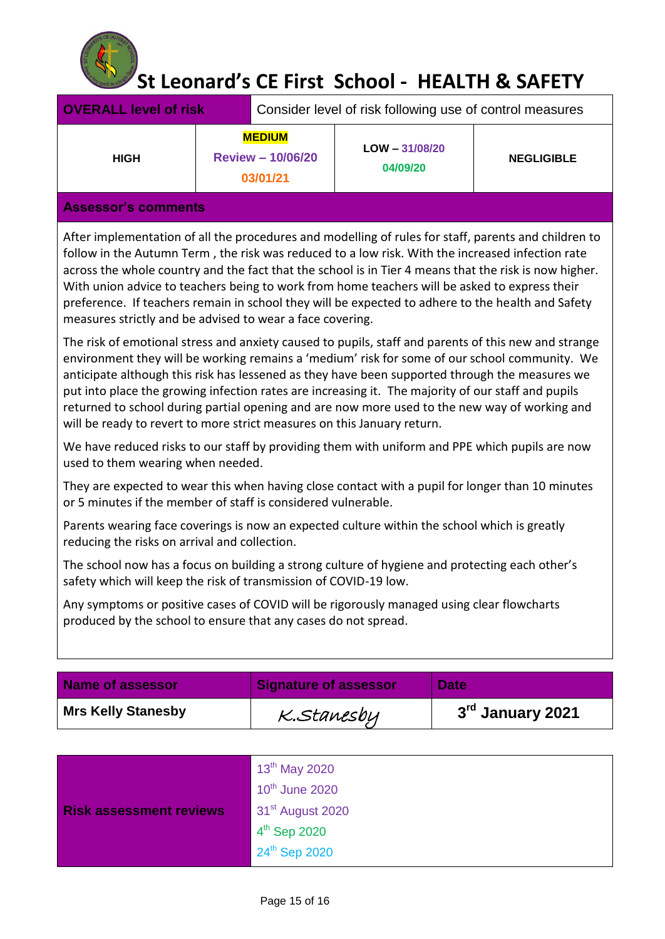

| <b>OVERALL level of risk</b> |                                                       | Consider level of risk following use of control measures |                              |                   |
|------------------------------|-------------------------------------------------------|----------------------------------------------------------|------------------------------|-------------------|
| <b>HIGH</b>                  | <b>MEDIUM</b><br><b>Review - 10/06/20</b><br>03/01/21 |                                                          | $LOW - 31/08/20$<br>04/09/20 | <b>NEGLIGIBLE</b> |
| <b>Assessor's comments</b>   |                                                       |                                                          |                              |                   |

After implementation of all the procedures and modelling of rules for staff, parents and children to follow in the Autumn Term , the risk was reduced to a low risk. With the increased infection rate across the whole country and the fact that the school is in Tier 4 means that the risk is now higher. With union advice to teachers being to work from home teachers will be asked to express their preference. If teachers remain in school they will be expected to adhere to the health and Safety measures strictly and be advised to wear a face covering.

The risk of emotional stress and anxiety caused to pupils, staff and parents of this new and strange environment they will be working remains a 'medium' risk for some of our school community. We anticipate although this risk has lessened as they have been supported through the measures we put into place the growing infection rates are increasing it. The majority of our staff and pupils returned to school during partial opening and are now more used to the new way of working and will be ready to revert to more strict measures on this January return.

We have reduced risks to our staff by providing them with uniform and PPE which pupils are now used to them wearing when needed.

They are expected to wear this when having close contact with a pupil for longer than 10 minutes or 5 minutes if the member of staff is considered vulnerable.

Parents wearing face coverings is now an expected culture within the school which is greatly reducing the risks on arrival and collection.

The school now has a focus on building a strong culture of hygiene and protecting each other's safety which will keep the risk of transmission of COVID-19 low.

Any symptoms or positive cases of COVID will be rigorously managed using clear flowcharts produced by the school to ensure that any cases do not spread.

| <b>Name of assessor</b>   | <b>Signature of assessor</b> | <b>Date</b>      |
|---------------------------|------------------------------|------------------|
| <b>Mrs Kelly Stanesby</b> | K.Stanesby                   | 3rd January 2021 |

|                                | $13^{th}$ May 2020<br>10 <sup>th</sup> June 2020 |
|--------------------------------|--------------------------------------------------|
| <b>Risk assessment reviews</b> | 31 <sup>st</sup> August 2020                     |
|                                | $4th$ Sep 2020                                   |
|                                | 24th Sep 2020                                    |